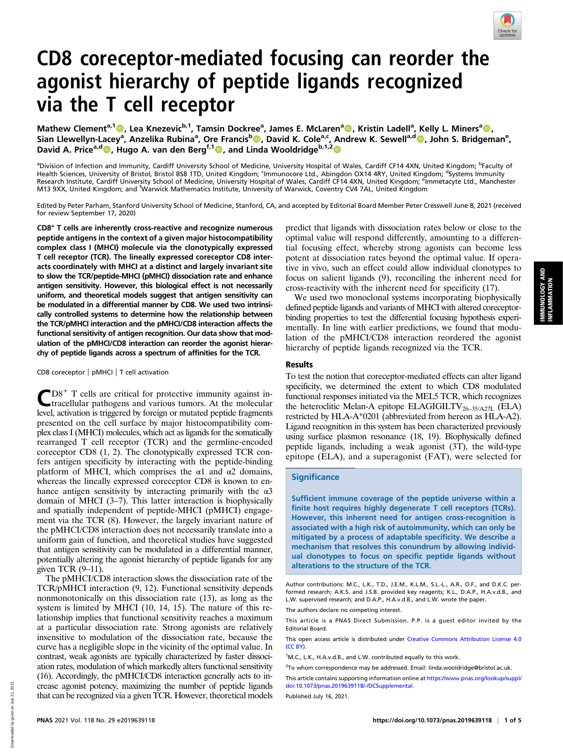

# CD8 coreceptor-mediated focusing can reorder the agonist hierarchy of peptide ligands recognized via the T cell receptor

Mathew Clement<sup>a,1</sup> (D, Lea Knezevic<sup>b,1</sup>, Tamsin Dockree<sup>a</sup>, James E. McLaren<sup>a</sup> (D, Kristin Ladell<sup>a</sup>, Kelly L. Miners<sup>a</sup> (D, Sian Llewellyn-Lacey<sup>a</sup>, Anzelika Rubina<sup>a</sup>, Ore Francis<sup>b</sup>®, David K. Cole<sup>a.c</sup>, Andrew K. Sewell<sup>a,d</sup>®, John S. Bridgeman<sup>e</sup>, David A. Price<sup>a,d</sup> , Hugo A. van den Berg<sup>f,1</sup> , and Linda Wooldridge<sup>b,1,2</sup>

<sup>a</sup>Division of Infection and Immunity, Cardiff University School of Medicine, University Hospital of Wales, Cardiff CF14 4XN, United Kingdom; <sup>b</sup>Faculty of<br>Health Sciences, University of Bristol, Bristol BS8 1TD, United Ki Research Institute, Cardiff University School of Medicine, University Hospital of Wales, Cardiff CF14 4XN, United Kingdom; <sup>e</sup>immetacyte Ltd., Manchester M13 9XX, United Kingdom; and <sup>f</sup>Warwick Mathematics Institute, University of Warwick, Coventry CV4 7AL, United Kingdom

Edited by Peter Parham, Stanford University School of Medicine, Stanford, CA, and accepted by Editorial Board Member Peter Cresswell June 8, 2021 (received for review September 17, 2020)

CD8+ T cells are inherently cross-reactive and recognize numerous peptide antigens in the context of a given major histocompatibility complex class I (MHCI) molecule via the clonotypically expressed T cell receptor (TCR). The lineally expressed coreceptor CD8 interacts coordinately with MHCI at a distinct and largely invariant site to slow the TCR/peptide-MHCI (pMHCI) dissociation rate and enhance antigen sensitivity. However, this biological effect is not necessarily uniform, and theoretical models suggest that antigen sensitivity can be modulated in a differential manner by CD8. We used two intrinsically controlled systems to determine how the relationship between the TCR/pMHCI interaction and the pMHCI/CD8 interaction affects the functional sensitivity of antigen recognition. Our data show that modulation of the pMHCI/CD8 interaction can reorder the agonist hierarchy of peptide ligands across a spectrum of affinities for the TCR.

CD8 coreceptor | pMHCI | T cell activation

CD8<sup>+</sup> T cells are critical for protective immunity against in-tracellular pathogens and various tumors. At the molecular level, activation is triggered by foreign or mutated peptide fragments presented on the cell surface by major histocompatibility complex class I (MHCI) molecules, which act as ligands for the somatically rearranged T cell receptor (TCR) and the germline-encoded coreceptor CD8 (1, 2). The clonotypically expressed TCR confers antigen specificity by interacting with the peptide-binding platform of MHCI, which comprises the  $\alpha$ 1 and  $\alpha$ 2 domains, whereas the lineally expressed coreceptor CD8 is known to enhance antigen sensitivity by interacting primarily with the  $\alpha$ 3 domain of MHCI (3–7). This latter interaction is biophysically and spatially independent of peptide-MHCI (pMHCI) engagement via the TCR (8). However, the largely invariant nature of the pMHCI/CD8 interaction does not necessarily translate into a uniform gain of function, and theoretical studies have suggested that antigen sensitivity can be modulated in a differential manner, potentially altering the agonist hierarchy of peptide ligands for any given TCR (9–11).

The pMHCI/CD8 interaction slows the dissociation rate of the TCR/pMHCI interaction (9, 12). Functional sensitivity depends nonmonotonically on this dissociation rate (13), as long as the system is limited by MHCI (10, 14, 15). The nature of this relationship implies that functional sensitivity reaches a maximum at a particular dissociation rate. Strong agonists are relatively insensitive to modulation of the dissociation rate, because the curve has a negligible slope in the vicinity of the optimal value. In contrast, weak agonists are typically characterized by faster dissociation rates, modulation of which markedly alters functional sensitivity (16). Accordingly, the pMHCI/CD8 interaction generally acts to increase agonist potency, maximizing the number of peptide ligands that can be recognized via a given TCR. However, theoretical models predict that ligands with dissociation rates below or close to the optimal value will respond differently, amounting to a differential focusing effect, whereby strong agonists can become less potent at dissociation rates beyond the optimal value. If operative in vivo, such an effect could allow individual clonotypes to focus on salient ligands (9), reconciling the inherent need for cross-reactivity with the inherent need for specificity (17).

We used two monoclonal systems incorporating biophysically defined peptide ligands and variants of MHCI with altered coreceptorbinding properties to test the differential focusing hypothesis experimentally. In line with earlier predictions, we found that modulation of the pMHCI/CD8 interaction reordered the agonist hierarchy of peptide ligands recognized via the TCR.

### Results

To test the notion that coreceptor-mediated effects can alter ligand specificity, we determined the extent to which CD8 modulated functional responses initiated via the MEL5 TCR, which recognizes the heteroclitic Melan-A epitope ELAGIGILTV<sub>26-35/A27L</sub> (ELA) restricted by HLA-A\*0201 (abbreviated from hereon as HLA-A2). Ligand recognition in this system has been characterized previously using surface plasmon resonance (18, 19). Biophysically defined peptide ligands, including a weak agonist (3T), the wild-type epitope (ELA), and a superagonist (FAT), were selected for

# **Significance**

Sufficient immune coverage of the peptide universe within a finite host requires highly degenerate T cell receptors (TCRs). However, this inherent need for antigen cross-recognition is associated with a high risk of autoimmunity, which can only be mitigated by a process of adaptable specificity. We describe a mechanism that resolves this conundrum by allowing individual clonotypes to focus on specific peptide ligands without alterations to the structure of the TCR.

Author contributions: M.C., L.K., T.D., J.E.M., K.L.M., S.L.-L., A.R., O.F., and D.K.C. performed research; A.K.S. and J.S.B. provided key reagents; K.L., D.A.P., H.A.v.d.B., and L.W. supervised research; and D.A.P., H.A.v.d.B., and L.W. wrote the paper.

The authors declare no competing interest.

This article is a PNAS Direct Submission. P.P. is a guest editor invited by the Editorial Board.

This open access article is distributed under [Creative Commons Attribution License 4.0](http://creativecommons.org/licenses/by/4.0/) [\(CC BY\).](http://creativecommons.org/licenses/by/4.0/)

This article contains supporting information online at [https://www.pnas.org/lookup/suppl/](https://www.pnas.org/lookup/suppl/doi:10.1073/pnas.2019639118/-/DCSupplemental) [doi:10.1073/pnas.2019639118/-/DCSupplemental.](https://www.pnas.org/lookup/suppl/doi:10.1073/pnas.2019639118/-/DCSupplemental)

Published July 16, 2021.

<sup>&</sup>lt;sup>1</sup>M.C., L.K., H.A.v.d.B., and L.W. contributed equally to this work.

<sup>&</sup>lt;sup>2</sup>To whom correspondence may be addressed. Email: [linda.wooldridge@bristol.ac.uk.](mailto:linda.wooldridge@bristol.ac.uk)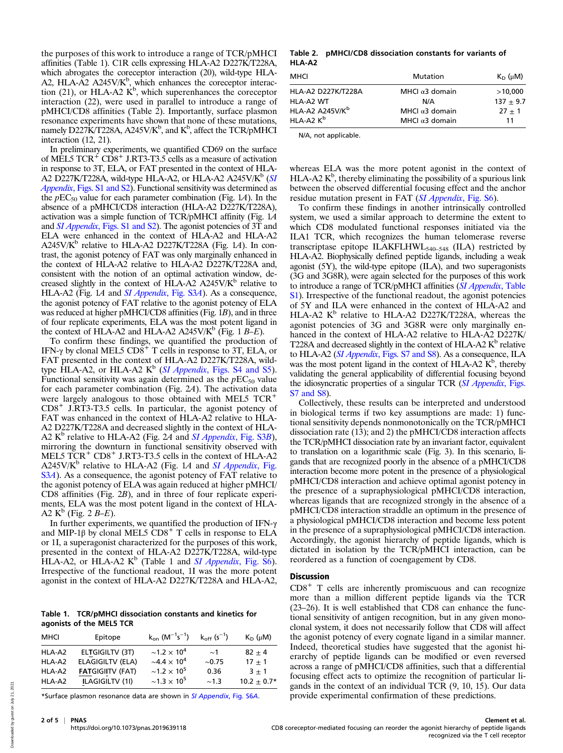the purposes of this work to introduce a range of TCR/pMHCI affinities (Table 1). C1R cells expressing HLA-A2 D227K/T228A, which abrogates the coreceptor interaction (20), wild-type HLA-A2, HLA- $\overline{A}2$  A245V/K<sup>b</sup>, which enhances the coreceptor interaction (21), or HLA-A2  $K^b$ , which superenhances the coreceptor interaction (22), were used in parallel to introduce a range of pMHCI/CD8 affinities (Table 2). Importantly, surface plasmon resonance experiments have shown that none of these mutations, namely D227 $\dot{K}$ /T228A, A245V/ $K^b$ , and  $K^b$ , affect the TCR/pMHCI interaction (12, 21).

In preliminary experiments, we quantified CD69 on the surface of MEL5 TCR<sup> $+$ </sup> CD8<sup>+</sup> J.RT3-T3.5 cells as a measure of activation in response to 3T, ELA, or FAT presented in the context of HLA-A2 D227K/T228A, wild-type HLA-A2, or HLA-A2 A245V/K<sup>b</sup> ([SI](https://www.pnas.org/lookup/suppl/doi:10.1073/pnas.2019639118/-/DCSupplemental) Appendix[, Figs. S1 and S2\)](https://www.pnas.org/lookup/suppl/doi:10.1073/pnas.2019639118/-/DCSupplemental). Functional sensitivity was determined as the  $pEC_{50}$  value for each parameter combination (Fig. 1A). In the absence of a pMHCI/CD8 interaction (HLA-A2 D227K/T228A), activation was a simple function of TCR/pMHCI affinity (Fig. 1A and *SI Appendix*[, Figs. S1 and S2](https://www.pnas.org/lookup/suppl/doi:10.1073/pnas.2019639118/-/DCSupplemental)). The agonist potencies of 3T and ELA were enhanced in the context of HLA-A2 and HLA-A2  $A245V/K^b$  relative to HLA-A2 D227K/T228A (Fig. 1A). In contrast, the agonist potency of FAT was only marginally enhanced in the context of HLA-A2 relative to HLA-A2 D227K/T228A and, consistent with the notion of an optimal activation window, decreased slightly in the context of HLA-A2 A245V/ $K^b$  relative to HLA-A2 (Fig. 1A and *[SI Appendix](https://www.pnas.org/lookup/suppl/doi:10.1073/pnas.2019639118/-/DCSupplemental)*, Fig. S3A). As a consequence, the agonist potency of FAT relative to the agonist potency of ELA was reduced at higher pMHCI/CD8 affinities (Fig. 1B), and in three of four replicate experiments, ELA was the most potent ligand in the context of HLA-A2 and HLA-A2 A245V/K<sup>b</sup> (Fig. 1  $B$ – $E$ ).

To confirm these findings, we quantified the production of IFN-γ by clonal MEL5 CD8<sup>+</sup> T cells in response to 3T, ELA, or FAT presented in the context of HLA-A2 D227K/T228A, wildtype  $\hat{H}$ LA-A2, or  $H$ LA-A2  $K^b$  (*SI Appendix*[, Figs. S4 and S5](https://www.pnas.org/lookup/suppl/doi:10.1073/pnas.2019639118/-/DCSupplemental)). Functional sensitivity was again determined as the  $pEC_{50}$  value for each parameter combination (Fig. 2A). The activation data were largely analogous to those obtained with MEL5  $TCR^+$  $CD8<sup>+</sup>$  J.RT3-T3.5 cells. In particular, the agonist potency of FAT was enhanced in the context of HLA-A2 relative to HLA-A2 D227K/T228A and decreased slightly in the context of HLA-A2  $K^b$  relative to HLA-A2 (Fig. 2A and *[SI Appendix](https://www.pnas.org/lookup/suppl/doi:10.1073/pnas.2019639118/-/DCSupplemental)*, Fig. S3B), mirroring the downturn in functional sensitivity observed with MEL5 TCR<sup>+</sup> CD8<sup>+</sup> J.RT3-T3.5 cells in the context of HLA-A2  $A245V/K<sup>b</sup>$  relative to HLA-A2 (Fig. 1A and [SI Appendix](https://www.pnas.org/lookup/suppl/doi:10.1073/pnas.2019639118/-/DCSupplemental), Fig. [S3](https://www.pnas.org/lookup/suppl/doi:10.1073/pnas.2019639118/-/DCSupplemental)A). As a consequence, the agonist potency of FAT relative to the agonist potency of ELA was again reduced at higher pMHCI/ CD8 affinities (Fig. 2B), and in three of four replicate experiments, ELA was the most potent ligand in the context of HLA-A2  $K^b$  (Fig. 2 *B–E*).

In further experiments, we quantified the production of IFN-γ and MIP-1 $\beta$  by clonal MEL5 CD8<sup>+</sup> T cells in response to ELA or 1I, a superagonist characterized for the purposes of this work, presented in the context of HLA-A2 D227K/T228A, wild-type HLA-A2, or HLA-A2  $K^b$  (Table 1 and *[SI Appendix](https://www.pnas.org/lookup/suppl/doi:10.1073/pnas.2019639118/-/DCSupplemental)*, Fig. S6). Irrespective of the functional readout, 1I was the more potent agonist in the context of HLA-A2 D227K/T228A and HLA-A2,

# Table 1. TCR/pMHCI dissociation constants and kinetics for agonists of the MEL5 TCR

| <b>MHCI</b> | Epitope                 | $k_{on}$ (M <sup>-1</sup> s <sup>-1</sup> ) | $k_{off}$ (s <sup>-1</sup> ) | $K_D$ ( $\mu$ M) |
|-------------|-------------------------|---------------------------------------------|------------------------------|------------------|
| HLA-A2      | ELTGIGILTV (3T)         | $\sim$ 1.2 $\times$ 10 <sup>4</sup>         | $\sim$ 1                     | $82 + 4$         |
| HLA-A2      | <b>ELAGIGILTV (ELA)</b> | $\sim$ 4.4 $\times$ 10 <sup>4</sup>         | $\sim 0.75$                  | $17 + 1$         |
| HLA-A2      | <b>FATGIGIITV (FAT)</b> | $\sim$ 1.2 $\times$ 10 <sup>5</sup>         | 0.36                         | $3 + 1$          |
| HLA-A2      | ILAGIGILTV (1I)         | $\sim$ 1.3 $\times$ 10 <sup>5</sup>         | $\sim$ 1.3                   | $10.2 + 0.7*$    |

\*Surface plasmon resonance data are shown in [SI Appendix](https://www.pnas.org/lookup/suppl/doi:10.1073/pnas.2019639118/-/DCSupplemental), Fig. S6A.

Table 2. pMHCI/CD8 dissociation constants for variants of HLA-A2

| <b>MHCI</b>               | Mutation               | $K_D$ ( $\mu$ M) |
|---------------------------|------------------------|------------------|
| <b>HLA-A2 D227K/T228A</b> | MHCl $\alpha$ 3 domain | >10.000          |
| HLA-A2 WT                 | N/A                    | $137 + 9.7$      |
| HLA-A2 A245V/Kb           | MHCl $\alpha$ 3 domain | $27 + 1$         |
| $HLA-A2 K^b$              | MHCl $\alpha$ 3 domain | 11               |
|                           |                        |                  |

N/A, not applicable.

whereas ELA was the more potent agonist in the context of HLA-A2  $K^b$ , thereby eliminating the possibility of a spurious link between the observed differential focusing effect and the anchor residue mutation present in FAT ([SI Appendix](https://www.pnas.org/lookup/suppl/doi:10.1073/pnas.2019639118/-/DCSupplemental), Fig. S6).

To confirm these findings in another intrinsically controlled system, we used a similar approach to determine the extent to which CD8 modulated functional responses initiated via the ILA1 TCR, which recognizes the human telomerase reverse transcriptase epitope ILAKFLHWL $_{540-548}$  (ILA) restricted by HLA-A2. Biophysically defined peptide ligands, including a weak agonist (5Y), the wild-type epitope (ILA), and two superagonists (3G and 3G8R), were again selected for the purposes of this work to introduce a range of TCR/pMHCI affinities ([SI Appendix](https://www.pnas.org/lookup/suppl/doi:10.1073/pnas.2019639118/-/DCSupplemental), Table [S1](https://www.pnas.org/lookup/suppl/doi:10.1073/pnas.2019639118/-/DCSupplemental)). Irrespective of the functional readout, the agonist potencies of 5Y and ILA were enhanced in the context of HLA-A2 and HLA-A2  $K^b$  relative to HLA-A2 D227K/T228A, whereas the agonist potencies of 3G and 3G8R were only marginally enhanced in the context of HLA-A2 relative to HLA-A2 D227K/ T228A and decreased slightly in the context of HLA-A2  $K<sup>b</sup>$  relative to HLA-A2 (SI Appendix[, Figs. S7 and S8](https://www.pnas.org/lookup/suppl/doi:10.1073/pnas.2019639118/-/DCSupplemental)). As a consequence, ILA was the most potent ligand in the context of HLA-A2  $K^b$ , thereby validating the general applicability of differential focusing beyond the idiosyncratic properties of a singular TCR ([SI Appendix](https://www.pnas.org/lookup/suppl/doi:10.1073/pnas.2019639118/-/DCSupplemental), Figs. [S7 and S8\)](https://www.pnas.org/lookup/suppl/doi:10.1073/pnas.2019639118/-/DCSupplemental).

Collectively, these results can be interpreted and understood in biological terms if two key assumptions are made: 1) functional sensitivity depends nonmonotonically on the TCR/pMHCI dissociation rate (13); and 2) the pMHCI/CD8 interaction affects the TCR/pMHCI dissociation rate by an invariant factor, equivalent to translation on a logarithmic scale (Fig. 3). In this scenario, ligands that are recognized poorly in the absence of a pMHCI/CD8 interaction become more potent in the presence of a physiological pMHCI/CD8 interaction and achieve optimal agonist potency in the presence of a supraphysiological pMHCI/CD8 interaction, whereas ligands that are recognized strongly in the absence of a pMHCI/CD8 interaction straddle an optimum in the presence of a physiological pMHCI/CD8 interaction and become less potent in the presence of a supraphysiological pMHCI/CD8 interaction. Accordingly, the agonist hierarchy of peptide ligands, which is dictated in isolation by the TCR/pMHCI interaction, can be reordered as a function of coengagement by CD8.

### Discussion

CD8+ T cells are inherently promiscuous and can recognize more than a million different peptide ligands via the TCR (23–26). It is well established that CD8 can enhance the functional sensitivity of antigen recognition, but in any given monoclonal system, it does not necessarily follow that CD8 will affect the agonist potency of every cognate ligand in a similar manner. Indeed, theoretical studies have suggested that the agonist hierarchy of peptide ligands can be modified or even reversed across a range of pMHCI/CD8 affinities, such that a differential focusing effect acts to optimize the recognition of particular ligands in the context of an individual TCR (9, 10, 15). Our data provide experimental confirmation of these predictions.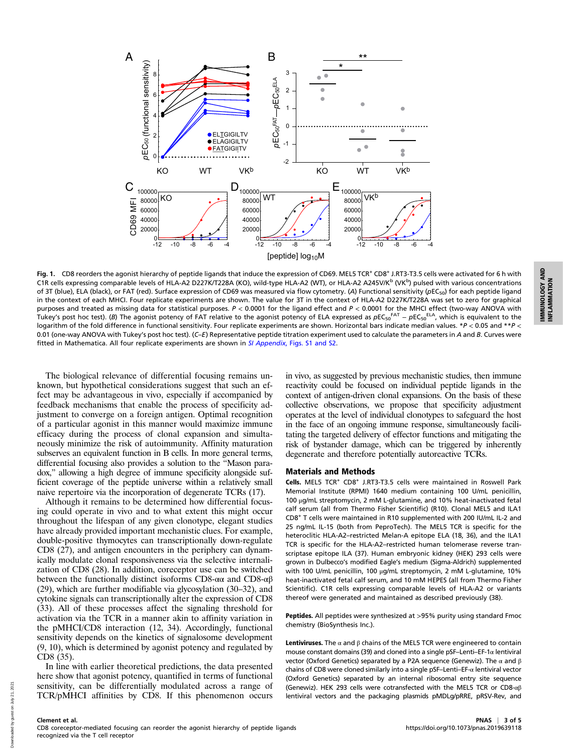

Fig. 1. CD8 reorders the agonist hierarchy of peptide ligands that induce the expression of CD69. MEL5 TCR<sup>+</sup> CD8<sup>+</sup> J.RT3-T3.5 cells were activated for 6 h with C1R cells expressing comparable levels of HLA-A2 D227K/T228A (KO), wild-type HLA-A2 (WT), or HLA-A2 A245V/K<sup>b</sup> (VK<sup>b</sup>) pulsed with various concentrations of 3T (blue), ELA (black), or FAT (red). Surface expression of CD69 was measured via flow cytometry. (A) Functional sensitivity (pEC<sub>50</sub>) for each peptide ligand in the context of each MHCI. Four replicate experiments are shown. The value for 3T in the context of HLA-A2 D227K/T228A was set to zero for graphical purposes and treated as missing data for statistical purposes. P < 0.0001 for the ligand effect and P < 0.0001 for the MHCI effect (two-way ANOVA with Tukey's post hoc test). (B) The agonist potency of FAT relative to the agonist potency of ELA expressed as  $pEC_{50}^{FAT} - pEC_{50}^{ELA}$ , which is equivalent to the logarithm of the fold difference in functional sensitivity. Four replicate experiments are shown. Horizontal bars indicate median values. \*P < 0.05 and \*\*P < 0.01 (one-way ANOVA with Tukey's post hoc test). (C–E) Representative peptide titration experiment used to calculate the parameters in A and B. Curves were fitted in Mathematica. All four replicate experiments are shown in SI Appendix[, Figs. S1 and S2](https://www.pnas.org/lookup/suppl/doi:10.1073/pnas.2019639118/-/DCSupplemental).

The biological relevance of differential focusing remains unknown, but hypothetical considerations suggest that such an effect may be advantageous in vivo, especially if accompanied by feedback mechanisms that enable the process of specificity adjustment to converge on a foreign antigen. Optimal recognition of a particular agonist in this manner would maximize immune efficacy during the process of clonal expansion and simultaneously minimize the risk of autoimmunity. Affinity maturation subserves an equivalent function in B cells. In more general terms, differential focusing also provides a solution to the "Mason paradox," allowing a high degree of immune specificity alongside sufficient coverage of the peptide universe within a relatively small naive repertoire via the incorporation of degenerate TCRs (17).

Although it remains to be determined how differential focusing could operate in vivo and to what extent this might occur throughout the lifespan of any given clonotype, elegant studies have already provided important mechanistic clues. For example, double-positive thymocytes can transcriptionally down-regulate CD8 (27), and antigen encounters in the periphery can dynamically modulate clonal responsiveness via the selective internalization of CD8 (28). In addition, coreceptor use can be switched between the functionally distinct isoforms CD8-αα and CD8-αβ (29), which are further modifiable via glycosylation (30–32), and cytokine signals can transcriptionally alter the expression of CD8 (33). All of these processes affect the signaling threshold for activation via the TCR in a manner akin to affinity variation in the pMHCI/CD8 interaction (12, 34). Accordingly, functional sensitivity depends on the kinetics of signalosome development (9, 10), which is determined by agonist potency and regulated by CD8 (35).

In line with earlier theoretical predictions, the data presented here show that agonist potency, quantified in terms of functional sensitivity, can be differentially modulated across a range of TCR/pMHCI affinities by CD8. If this phenomenon occurs in vivo, as suggested by previous mechanistic studies, then immune reactivity could be focused on individual peptide ligands in the context of antigen-driven clonal expansions. On the basis of these collective observations, we propose that specificity adjustment operates at the level of individual clonotypes to safeguard the host in the face of an ongoing immune response, simultaneously facilitating the targeted delivery of effector functions and mitigating the risk of bystander damage, which can be triggered by inherently degenerate and therefore potentially autoreactive TCRs.

#### Materials and Methods

Cells. MEL5 TCR<sup>+</sup> CD8<sup>+</sup> J.RT3-T3.5 cells were maintained in Roswell Park Memorial Institute (RPMI) 1640 medium containing 100 U/mL penicillin, 100 μg/mL streptomycin, 2 mM L-glutamine, and 10% heat-inactivated fetal calf serum (all from Thermo Fisher Scientific) (R10). Clonal MEL5 and ILA1 CD8<sup>+</sup> T cells were maintained in R10 supplemented with 200 IU/mL IL-2 and 25 ng/mL IL-15 (both from PeproTech). The MEL5 TCR is specific for the heteroclitic HLA-A2–restricted Melan-A epitope ELA (18, 36), and the ILA1 TCR is specific for the HLA-A2–restricted human telomerase reverse transcriptase epitope ILA (37). Human embryonic kidney (HEK) 293 cells were grown in Dulbecco's modified Eagle's medium (Sigma-Aldrich) supplemented with 100 U/mL penicillin, 100 μg/mL streptomycin, 2 mM L-glutamine, 10% heat-inactivated fetal calf serum, and 10 mM HEPES (all from Thermo Fisher Scientific). C1R cells expressing comparable levels of HLA-A2 or variants thereof were generated and maintained as described previously (38).

Peptides. All peptides were synthesized at >95% purity using standard Fmoc chemistry (BioSynthesis Inc.).

Lentiviruses. The  $\alpha$  and  $\beta$  chains of the MEL5 TCR were engineered to contain mouse constant domains (39) and cloned into a single pSF-Lenti-EF-1 $\alpha$  lentiviral vector (Oxford Genetics) separated by a P2A sequence (Genewiz). The  $\alpha$  and  $\beta$ chains of CD8 were cloned similarly into a single pSF–Lenti–EF-α lentiviral vector (Oxford Genetics) separated by an internal ribosomal entry site sequence (Genewiz). HEK 293 cells were cotransfected with the MEL5 TCR or CD8-αβ lentiviral vectors and the packaging plasmids pMDLg/pRRE, pRSV-Rev, and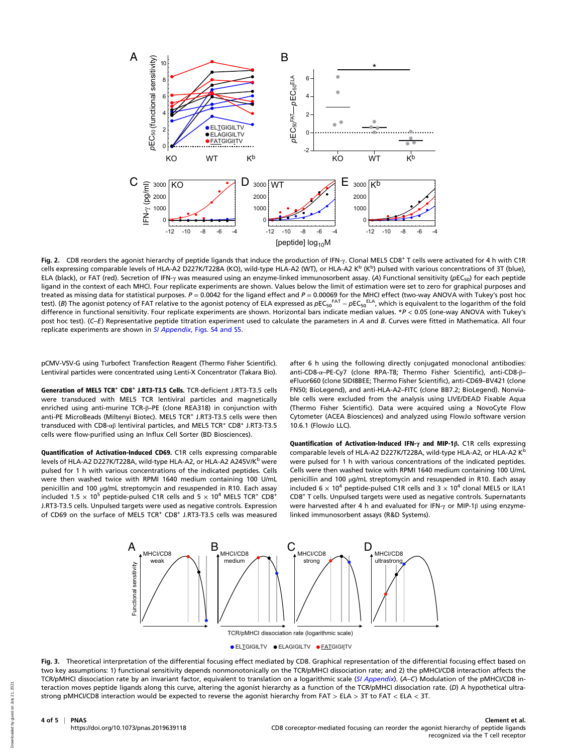

Fig. 2. CD8 reorders the agonist hierarchy of peptide ligands that induce the production of IFN-γ. Clonal MEL5 CD8<sup>+</sup> T cells were activated for 4 h with C1R cells expressing comparable levels of HLA-A2 D227K/T228A (KO), wild-type HLA-A2 (WT), or HLA-A2 K<sup>b</sup> (K<sup>b</sup>) pulsed with various concentrations of 3T (blue), ELA (black), or FAT (red). Secretion of IFN-γ was measured using an enzyme-linked immunosorbent assay. (A) Functional sensitivity (pEC<sub>50</sub>) for each peptide ligand in the context of each MHCI. Four replicate experiments are shown. Values below the limit of estimation were set to zero for graphical purposes and treated as missing data for statistical purposes.  $P = 0.0042$  for the ligand effect and  $P = 0.00069$  for the MHCI effect (two-way ANOVA with Tukey's post hoc test). (B) The agonist potency of FAT relative to the agonist potency of ELA expressed as  $pEC_5^{FAT} - pEC_5^{ELA}$ , which is equivalent to the logarithm of the fold difference in functional sensitivity. Four replicate experiments are shown. Horizontal bars indicate median values. \*P < 0.05 (one-way ANOVA with Tukey's post hoc test). (C–E) Representative peptide titration experiment used to calculate the parameters in A and B. Curves were fitted in Mathematica. All four replicate experiments are shown in SI Appendix[, Figs. S4 and S5.](https://www.pnas.org/lookup/suppl/doi:10.1073/pnas.2019639118/-/DCSupplemental)

pCMV-VSV-G using Turbofect Transfection Reagent (Thermo Fisher Scientific). Lentiviral particles were concentrated using Lenti-X Concentrator (Takara Bio).

Generation of MEL5 TCR+ CD8<sup>+</sup> J.RT3-T3.5 Cells. TCR-deficient J.RT3-T3.5 cells were transduced with MEL5 TCR lentiviral particles and magnetically enriched using anti-murine TCR-β–PE (clone REA318) in conjunction with anti-PE MicroBeads (Miltenyi Biotec). MEL5 TCR<sup>+</sup> J.RT3-T3.5 cells were then transduced with CD8-αβ lentiviral particles, and MEL5 TCR<sup>+</sup> CD8<sup>+</sup> J.RT3-T3.5 cells were flow-purified using an Influx Cell Sorter (BD Biosciences).

Quantification of Activation-Induced CD69. C1R cells expressing comparable levels of HLA-A2 D227K/T228A, wild-type HLA-A2, or HLA-A2 A245V/K<sup>b</sup> were pulsed for 1 h with various concentrations of the indicated peptides. Cells were then washed twice with RPMI 1640 medium containing 100 U/mL penicillin and 100 μg/mL streptomycin and resuspended in R10. Each assay included 1.5  $\times$  10<sup>5</sup> peptide-pulsed C1R cells and 5  $\times$  10<sup>4</sup> MEL5 TCR<sup>+</sup> CD8<sup>+</sup> J.RT3-T3.5 cells. Unpulsed targets were used as negative controls. Expression of CD69 on the surface of MEL5 TCR<sup>+</sup> CD8<sup>+</sup> J.RT3-T3.5 cells was measured after 6 h using the following directly conjugated monoclonal antibodies: anti-CD8-α–PE-Cy7 (clone RPA-T8; Thermo Fisher Scientific), anti-CD8-β– eFluor660 (clone SIDI8BEE; Thermo Fisher Scientific), anti-CD69–BV421 (clone FN50; BioLegend), and anti-HLA-A2–FITC (clone BB7.2; BioLegend). Nonviable cells were excluded from the analysis using LIVE/DEAD Fixable Aqua (Thermo Fisher Scientific). Data were acquired using a NovoCyte Flow Cytometer (ACEA Biosciences) and analyzed using FlowJo software version 10.6.1 (FlowJo LLC).

Quantification of Activation-Induced IFN-γ and MIP-1β. C1R cells expressing comparable levels of HLA-A2 D227K/T228A, wild-type HLA-A2, or HLA-A2 K<sup>b</sup> were pulsed for 1 h with various concentrations of the indicated peptides. Cells were then washed twice with RPMI 1640 medium containing 100 U/mL penicillin and 100 μg/mL streptomycin and resuspended in R10. Each assay included 6  $\times$  10<sup>4</sup> peptide-pulsed C1R cells and 3  $\times$  10<sup>4</sup> clonal MEL5 or ILA1 CD8<sup>+</sup> T cells. Unpulsed targets were used as negative controls. Supernatants were harvested after 4 h and evaluated for IFN-γ or MIP-1β using enzymelinked immunosorbent assays (R&D Systems).





Fig. 3. Theoretical interpretation of the differential focusing effect mediated by CD8. Graphical representation of the differential focusing effect based on two key assumptions: 1) functional sensitivity depends nonmonotonically on the TCR/pMHCI dissociation rate; and 2) the pMHCI/CD8 interaction affects the TCR/pMHCI dissociation rate by an invariant factor, equivalent to translation on a logarithmic scale ([SI Appendix](https://www.pnas.org/lookup/suppl/doi:10.1073/pnas.2019639118/-/DCSupplemental)). (A-C) Modulation of the pMHCI/CD8 interaction moves peptide ligands along this curve, altering the agonist hierarchy as a function of the TCR/pMHCI dissociation rate. (D) A hypothetical ultrastrong pMHCI/CD8 interaction would be expected to reverse the agonist hierarchy from FAT > ELA > 3T to FAT < ELA < 3T.